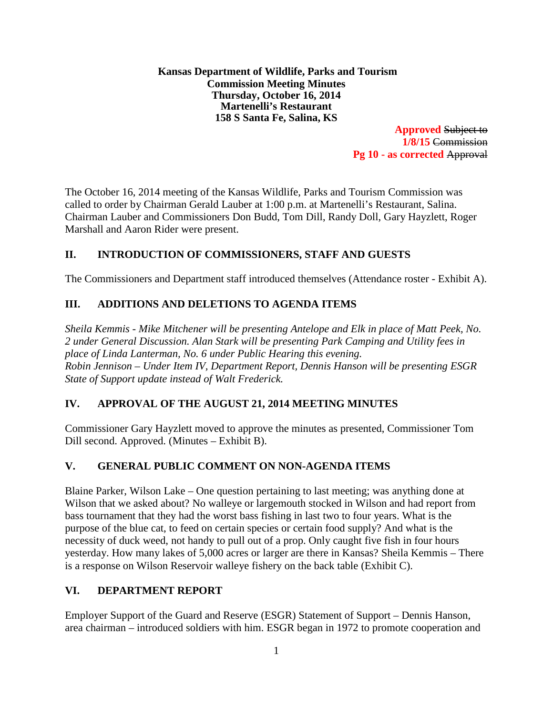**Kansas Department of Wildlife, Parks and Tourism Commission Meeting Minutes Thursday, October 16, 2014 Martenelli's Restaurant 158 S Santa Fe, Salina, KS**

**Approved** Subject to **1/8/15** Commission **Pg 10 - as corrected** Approval

The October 16, 2014 meeting of the Kansas Wildlife, Parks and Tourism Commission was called to order by Chairman Gerald Lauber at 1:00 p.m. at Martenelli's Restaurant, Salina. Chairman Lauber and Commissioners Don Budd, Tom Dill, Randy Doll, Gary Hayzlett, Roger Marshall and Aaron Rider were present.

# **II. INTRODUCTION OF COMMISSIONERS, STAFF AND GUESTS**

The Commissioners and Department staff introduced themselves (Attendance roster - Exhibit A).

# **III. ADDITIONS AND DELETIONS TO AGENDA ITEMS**

*Sheila Kemmis - Mike Mitchener will be presenting Antelope and Elk in place of Matt Peek, No. 2 under General Discussion. Alan Stark will be presenting Park Camping and Utility fees in place of Linda Lanterman, No. 6 under Public Hearing this evening. Robin Jennison – Under Item IV, Department Report, Dennis Hanson will be presenting ESGR State of Support update instead of Walt Frederick.* 

# **IV. APPROVAL OF THE AUGUST 21, 2014 MEETING MINUTES**

Commissioner Gary Hayzlett moved to approve the minutes as presented, Commissioner Tom Dill second. Approved. (Minutes – Exhibit B).

# **V. GENERAL PUBLIC COMMENT ON NON-AGENDA ITEMS**

Blaine Parker, Wilson Lake – One question pertaining to last meeting; was anything done at Wilson that we asked about? No walleye or largemouth stocked in Wilson and had report from bass tournament that they had the worst bass fishing in last two to four years. What is the purpose of the blue cat, to feed on certain species or certain food supply? And what is the necessity of duck weed, not handy to pull out of a prop. Only caught five fish in four hours yesterday. How many lakes of 5,000 acres or larger are there in Kansas? Sheila Kemmis – There is a response on Wilson Reservoir walleye fishery on the back table (Exhibit C).

# **VI. DEPARTMENT REPORT**

Employer Support of the Guard and Reserve (ESGR) Statement of Support – Dennis Hanson, area chairman – introduced soldiers with him. ESGR began in 1972 to promote cooperation and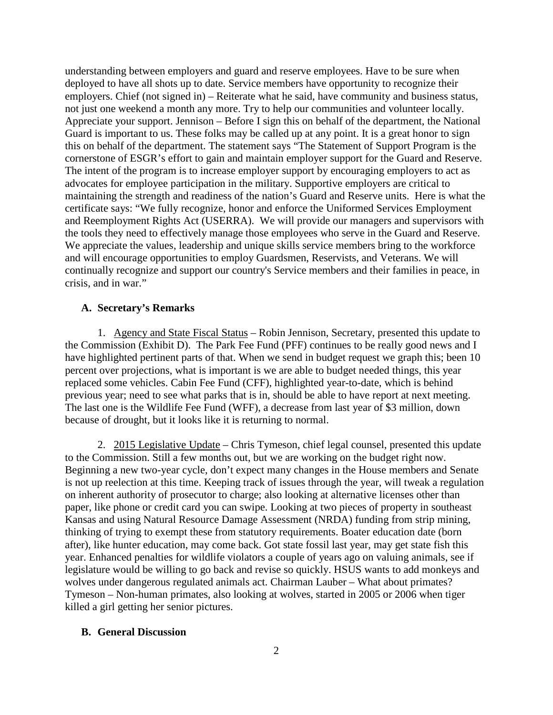understanding between employers and guard and reserve employees. Have to be sure when deployed to have all shots up to date. Service members have opportunity to recognize their employers. Chief (not signed in) – Reiterate what he said, have community and business status, not just one weekend a month any more. Try to help our communities and volunteer locally. Appreciate your support. Jennison – Before I sign this on behalf of the department, the National Guard is important to us. These folks may be called up at any point. It is a great honor to sign this on behalf of the department. The statement says "The Statement of Support Program is the cornerstone of ESGR's effort to gain and maintain employer support for the Guard and Reserve. The intent of the program is to increase employer support by encouraging employers to act as advocates for employee participation in the military. Supportive employers are critical to maintaining the strength and readiness of the nation's Guard and Reserve units. Here is what the certificate says: "We fully recognize, honor and enforce the Uniformed Services Employment and Reemployment Rights Act (USERRA). We will provide our managers and supervisors with the tools they need to effectively manage those employees who serve in the Guard and Reserve. We appreciate the values, leadership and unique skills service members bring to the workforce and will encourage opportunities to employ Guardsmen, Reservists, and Veterans. We will continually recognize and support our country's Service members and their families in peace, in crisis, and in war."

#### **A. Secretary's Remarks**

1. Agency and State Fiscal Status – Robin Jennison, Secretary, presented this update to the Commission (Exhibit D). The Park Fee Fund (PFF) continues to be really good news and I have highlighted pertinent parts of that. When we send in budget request we graph this; been 10 percent over projections, what is important is we are able to budget needed things, this year replaced some vehicles. Cabin Fee Fund (CFF), highlighted year-to-date, which is behind previous year; need to see what parks that is in, should be able to have report at next meeting. The last one is the Wildlife Fee Fund (WFF), a decrease from last year of \$3 million, down because of drought, but it looks like it is returning to normal.

2. 2015 Legislative Update – Chris Tymeson, chief legal counsel, presented this update to the Commission. Still a few months out, but we are working on the budget right now. Beginning a new two-year cycle, don't expect many changes in the House members and Senate is not up reelection at this time. Keeping track of issues through the year, will tweak a regulation on inherent authority of prosecutor to charge; also looking at alternative licenses other than paper, like phone or credit card you can swipe. Looking at two pieces of property in southeast Kansas and using Natural Resource Damage Assessment (NRDA) funding from strip mining, thinking of trying to exempt these from statutory requirements. Boater education date (born after), like hunter education, may come back. Got state fossil last year, may get state fish this year. Enhanced penalties for wildlife violators a couple of years ago on valuing animals, see if legislature would be willing to go back and revise so quickly. HSUS wants to add monkeys and wolves under dangerous regulated animals act. Chairman Lauber – What about primates? Tymeson – Non-human primates, also looking at wolves, started in 2005 or 2006 when tiger killed a girl getting her senior pictures.

#### **B. General Discussion**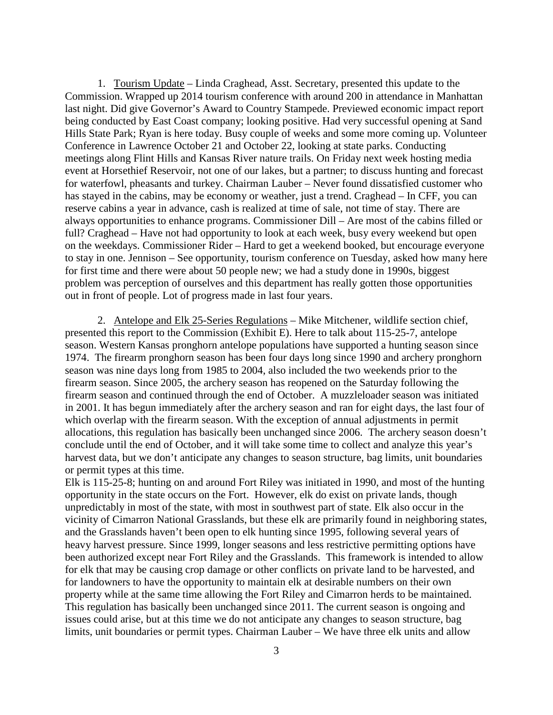1. Tourism Update – Linda Craghead, Asst. Secretary, presented this update to the Commission. Wrapped up 2014 tourism conference with around 200 in attendance in Manhattan last night. Did give Governor's Award to Country Stampede. Previewed economic impact report being conducted by East Coast company; looking positive. Had very successful opening at Sand Hills State Park; Ryan is here today. Busy couple of weeks and some more coming up. Volunteer Conference in Lawrence October 21 and October 22, looking at state parks. Conducting meetings along Flint Hills and Kansas River nature trails. On Friday next week hosting media event at Horsethief Reservoir, not one of our lakes, but a partner; to discuss hunting and forecast for waterfowl, pheasants and turkey. Chairman Lauber – Never found dissatisfied customer who has stayed in the cabins, may be economy or weather, just a trend. Craghead – In CFF, you can reserve cabins a year in advance, cash is realized at time of sale, not time of stay. There are always opportunities to enhance programs. Commissioner Dill – Are most of the cabins filled or full? Craghead – Have not had opportunity to look at each week, busy every weekend but open on the weekdays. Commissioner Rider – Hard to get a weekend booked, but encourage everyone to stay in one. Jennison – See opportunity, tourism conference on Tuesday, asked how many here for first time and there were about 50 people new; we had a study done in 1990s, biggest problem was perception of ourselves and this department has really gotten those opportunities out in front of people. Lot of progress made in last four years.

2. Antelope and Elk 25-Series Regulations – Mike Mitchener, wildlife section chief, presented this report to the Commission (Exhibit E). Here to talk about 115-25-7, antelope season. Western Kansas pronghorn antelope populations have supported a hunting season since 1974. The firearm pronghorn season has been four days long since 1990 and archery pronghorn season was nine days long from 1985 to 2004, also included the two weekends prior to the firearm season. Since 2005, the archery season has reopened on the Saturday following the firearm season and continued through the end of October. A muzzleloader season was initiated in 2001. It has begun immediately after the archery season and ran for eight days, the last four of which overlap with the firearm season. With the exception of annual adjustments in permit allocations, this regulation has basically been unchanged since 2006. The archery season doesn't conclude until the end of October, and it will take some time to collect and analyze this year's harvest data, but we don't anticipate any changes to season structure, bag limits, unit boundaries or permit types at this time.

Elk is 115-25-8; hunting on and around Fort Riley was initiated in 1990, and most of the hunting opportunity in the state occurs on the Fort. However, elk do exist on private lands, though unpredictably in most of the state, with most in southwest part of state. Elk also occur in the vicinity of Cimarron National Grasslands, but these elk are primarily found in neighboring states, and the Grasslands haven't been open to elk hunting since 1995, following several years of heavy harvest pressure. Since 1999, longer seasons and less restrictive permitting options have been authorized except near Fort Riley and the Grasslands. This framework is intended to allow for elk that may be causing crop damage or other conflicts on private land to be harvested, and for landowners to have the opportunity to maintain elk at desirable numbers on their own property while at the same time allowing the Fort Riley and Cimarron herds to be maintained. This regulation has basically been unchanged since 2011. The current season is ongoing and issues could arise, but at this time we do not anticipate any changes to season structure, bag limits, unit boundaries or permit types. Chairman Lauber – We have three elk units and allow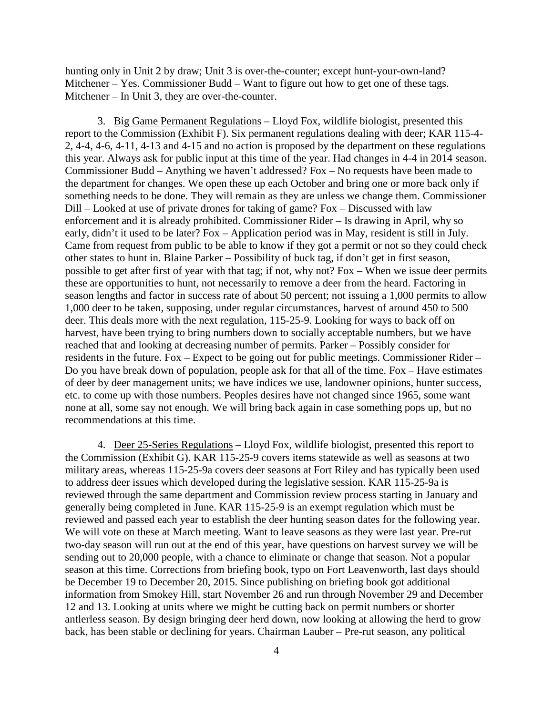hunting only in Unit 2 by draw; Unit 3 is over-the-counter; except hunt-your-own-land? Mitchener – Yes. Commissioner Budd – Want to figure out how to get one of these tags. Mitchener – In Unit 3, they are over-the-counter.

3. Big Game Permanent Regulations – Lloyd Fox, wildlife biologist, presented this report to the Commission (Exhibit F). Six permanent regulations dealing with deer; KAR 115-4- 2, 4-4, 4-6, 4-11, 4-13 and 4-15 and no action is proposed by the department on these regulations this year. Always ask for public input at this time of the year. Had changes in 4-4 in 2014 season. Commissioner Budd – Anything we haven't addressed? Fox – No requests have been made to the department for changes. We open these up each October and bring one or more back only if something needs to be done. They will remain as they are unless we change them. Commissioner Dill – Looked at use of private drones for taking of game? Fox – Discussed with law enforcement and it is already prohibited. Commissioner Rider – Is drawing in April, why so early, didn't it used to be later? Fox – Application period was in May, resident is still in July. Came from request from public to be able to know if they got a permit or not so they could check other states to hunt in. Blaine Parker – Possibility of buck tag, if don't get in first season, possible to get after first of year with that tag; if not, why not? Fox – When we issue deer permits these are opportunities to hunt, not necessarily to remove a deer from the heard. Factoring in season lengths and factor in success rate of about 50 percent; not issuing a 1,000 permits to allow 1,000 deer to be taken, supposing, under regular circumstances, harvest of around 450 to 500 deer. This deals more with the next regulation, 115-25-9. Looking for ways to back off on harvest, have been trying to bring numbers down to socially acceptable numbers, but we have reached that and looking at decreasing number of permits. Parker – Possibly consider for residents in the future. Fox – Expect to be going out for public meetings. Commissioner Rider – Do you have break down of population, people ask for that all of the time. Fox – Have estimates of deer by deer management units; we have indices we use, landowner opinions, hunter success, etc. to come up with those numbers. Peoples desires have not changed since 1965, some want none at all, some say not enough. We will bring back again in case something pops up, but no recommendations at this time.

4. Deer 25-Series Regulations – Lloyd Fox, wildlife biologist, presented this report to the Commission (Exhibit G). KAR 115-25-9 covers items statewide as well as seasons at two military areas, whereas 115-25-9a covers deer seasons at Fort Riley and has typically been used to address deer issues which developed during the legislative session. KAR 115-25-9a is reviewed through the same department and Commission review process starting in January and generally being completed in June. KAR 115-25-9 is an exempt regulation which must be reviewed and passed each year to establish the deer hunting season dates for the following year. We will vote on these at March meeting. Want to leave seasons as they were last year. Pre-rut two-day season will run out at the end of this year, have questions on harvest survey we will be sending out to 20,000 people, with a chance to eliminate or change that season. Not a popular season at this time. Corrections from briefing book, typo on Fort Leavenworth, last days should be December 19 to December 20, 2015. Since publishing on briefing book got additional information from Smokey Hill, start November 26 and run through November 29 and December 12 and 13. Looking at units where we might be cutting back on permit numbers or shorter antlerless season. By design bringing deer herd down, now looking at allowing the herd to grow back, has been stable or declining for years. Chairman Lauber – Pre-rut season, any political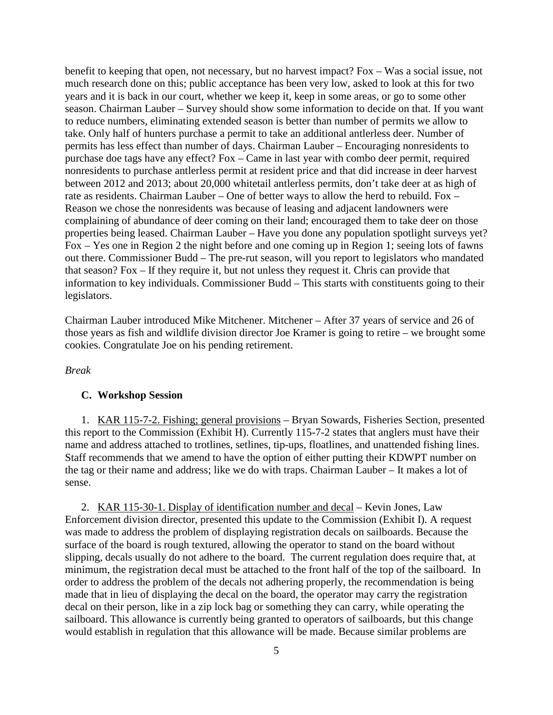benefit to keeping that open, not necessary, but no harvest impact? Fox – Was a social issue, not much research done on this; public acceptance has been very low, asked to look at this for two years and it is back in our court, whether we keep it, keep in some areas, or go to some other season. Chairman Lauber – Survey should show some information to decide on that. If you want to reduce numbers, eliminating extended season is better than number of permits we allow to take. Only half of hunters purchase a permit to take an additional antlerless deer. Number of permits has less effect than number of days. Chairman Lauber – Encouraging nonresidents to purchase doe tags have any effect? Fox – Came in last year with combo deer permit, required nonresidents to purchase antlerless permit at resident price and that did increase in deer harvest between 2012 and 2013; about 20,000 whitetail antlerless permits, don't take deer at as high of rate as residents. Chairman Lauber – One of better ways to allow the herd to rebuild. Fox – Reason we chose the nonresidents was because of leasing and adjacent landowners were complaining of abundance of deer coming on their land; encouraged them to take deer on those properties being leased. Chairman Lauber – Have you done any population spotlight surveys yet? Fox – Yes one in Region 2 the night before and one coming up in Region 1; seeing lots of fawns out there. Commissioner Budd – The pre-rut season, will you report to legislators who mandated that season? Fox – If they require it, but not unless they request it. Chris can provide that information to key individuals. Commissioner Budd – This starts with constituents going to their legislators.

Chairman Lauber introduced Mike Mitchener. Mitchener – After 37 years of service and 26 of those years as fish and wildlife division director Joe Kramer is going to retire – we brought some cookies. Congratulate Joe on his pending retirement.

#### *Break*

#### **C. Workshop Session**

1. KAR 115-7-2. Fishing; general provisions – Bryan Sowards, Fisheries Section, presented this report to the Commission (Exhibit H). Currently 115-7-2 states that anglers must have their name and address attached to trotlines, setlines, tip-ups, floatlines, and unattended fishing lines. Staff recommends that we amend to have the option of either putting their KDWPT number on the tag or their name and address; like we do with traps. Chairman Lauber – It makes a lot of sense.

2. KAR 115-30-1. Display of identification number and decal – Kevin Jones, Law Enforcement division director, presented this update to the Commission (Exhibit I). A request was made to address the problem of displaying registration decals on sailboards. Because the surface of the board is rough textured, allowing the operator to stand on the board without slipping, decals usually do not adhere to the board. The current regulation does require that, at minimum, the registration decal must be attached to the front half of the top of the sailboard. In order to address the problem of the decals not adhering properly, the recommendation is being made that in lieu of displaying the decal on the board, the operator may carry the registration decal on their person, like in a zip lock bag or something they can carry, while operating the sailboard. This allowance is currently being granted to operators of sailboards, but this change would establish in regulation that this allowance will be made. Because similar problems are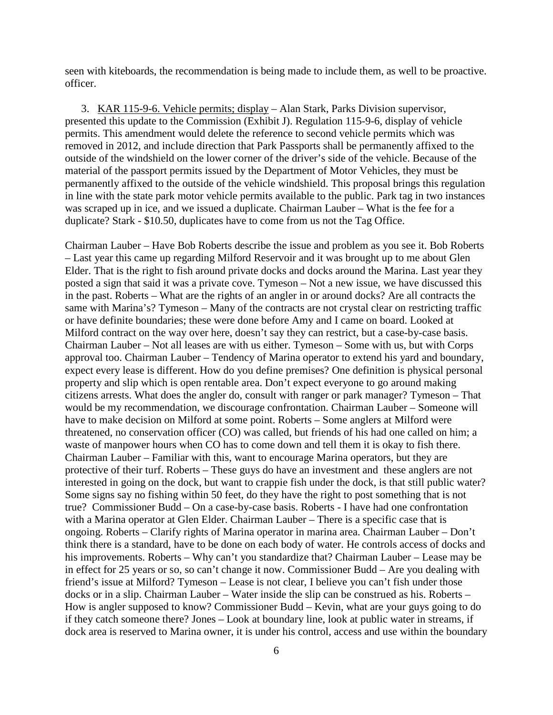seen with kiteboards, the recommendation is being made to include them, as well to be proactive. officer.

3. KAR 115-9-6. Vehicle permits; display – Alan Stark, Parks Division supervisor, presented this update to the Commission (Exhibit J). Regulation 115-9-6, display of vehicle permits. This amendment would delete the reference to second vehicle permits which was removed in 2012, and include direction that Park Passports shall be permanently affixed to the outside of the windshield on the lower corner of the driver's side of the vehicle. Because of the material of the passport permits issued by the Department of Motor Vehicles, they must be permanently affixed to the outside of the vehicle windshield. This proposal brings this regulation in line with the state park motor vehicle permits available to the public. Park tag in two instances was scraped up in ice, and we issued a duplicate. Chairman Lauber – What is the fee for a duplicate? Stark - \$10.50, duplicates have to come from us not the Tag Office.

Chairman Lauber – Have Bob Roberts describe the issue and problem as you see it. Bob Roberts – Last year this came up regarding Milford Reservoir and it was brought up to me about Glen Elder. That is the right to fish around private docks and docks around the Marina. Last year they posted a sign that said it was a private cove. Tymeson – Not a new issue, we have discussed this in the past. Roberts – What are the rights of an angler in or around docks? Are all contracts the same with Marina's? Tymeson – Many of the contracts are not crystal clear on restricting traffic or have definite boundaries; these were done before Amy and I came on board. Looked at Milford contract on the way over here, doesn't say they can restrict, but a case-by-case basis. Chairman Lauber – Not all leases are with us either. Tymeson – Some with us, but with Corps approval too. Chairman Lauber – Tendency of Marina operator to extend his yard and boundary, expect every lease is different. How do you define premises? One definition is physical personal property and slip which is open rentable area. Don't expect everyone to go around making citizens arrests. What does the angler do, consult with ranger or park manager? Tymeson – That would be my recommendation, we discourage confrontation. Chairman Lauber – Someone will have to make decision on Milford at some point. Roberts – Some anglers at Milford were threatened, no conservation officer (CO) was called, but friends of his had one called on him; a waste of manpower hours when CO has to come down and tell them it is okay to fish there. Chairman Lauber – Familiar with this, want to encourage Marina operators, but they are protective of their turf. Roberts – These guys do have an investment and these anglers are not interested in going on the dock, but want to crappie fish under the dock, is that still public water? Some signs say no fishing within 50 feet, do they have the right to post something that is not true? Commissioner Budd – On a case-by-case basis. Roberts - I have had one confrontation with a Marina operator at Glen Elder. Chairman Lauber – There is a specific case that is ongoing. Roberts – Clarify rights of Marina operator in marina area. Chairman Lauber – Don't think there is a standard, have to be done on each body of water. He controls access of docks and his improvements. Roberts – Why can't you standardize that? Chairman Lauber – Lease may be in effect for 25 years or so, so can't change it now. Commissioner Budd – Are you dealing with friend's issue at Milford? Tymeson – Lease is not clear, I believe you can't fish under those docks or in a slip. Chairman Lauber – Water inside the slip can be construed as his. Roberts – How is angler supposed to know? Commissioner Budd – Kevin, what are your guys going to do if they catch someone there? Jones – Look at boundary line, look at public water in streams, if dock area is reserved to Marina owner, it is under his control, access and use within the boundary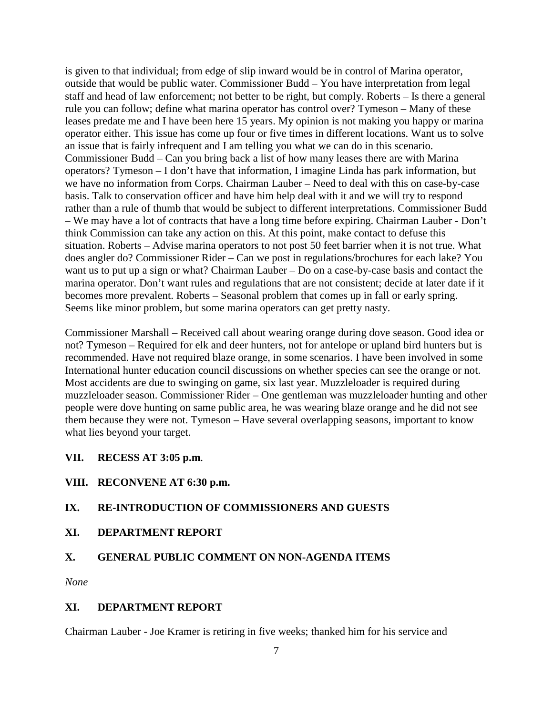is given to that individual; from edge of slip inward would be in control of Marina operator, outside that would be public water. Commissioner Budd – You have interpretation from legal staff and head of law enforcement; not better to be right, but comply. Roberts – Is there a general rule you can follow; define what marina operator has control over? Tymeson – Many of these leases predate me and I have been here 15 years. My opinion is not making you happy or marina operator either. This issue has come up four or five times in different locations. Want us to solve an issue that is fairly infrequent and I am telling you what we can do in this scenario. Commissioner Budd – Can you bring back a list of how many leases there are with Marina operators? Tymeson – I don't have that information, I imagine Linda has park information, but we have no information from Corps. Chairman Lauber – Need to deal with this on case-by-case basis. Talk to conservation officer and have him help deal with it and we will try to respond rather than a rule of thumb that would be subject to different interpretations. Commissioner Budd – We may have a lot of contracts that have a long time before expiring. Chairman Lauber - Don't think Commission can take any action on this. At this point, make contact to defuse this situation. Roberts – Advise marina operators to not post 50 feet barrier when it is not true. What does angler do? Commissioner Rider – Can we post in regulations/brochures for each lake? You want us to put up a sign or what? Chairman Lauber – Do on a case-by-case basis and contact the marina operator. Don't want rules and regulations that are not consistent; decide at later date if it becomes more prevalent. Roberts – Seasonal problem that comes up in fall or early spring. Seems like minor problem, but some marina operators can get pretty nasty.

Commissioner Marshall – Received call about wearing orange during dove season. Good idea or not? Tymeson – Required for elk and deer hunters, not for antelope or upland bird hunters but is recommended. Have not required blaze orange, in some scenarios. I have been involved in some International hunter education council discussions on whether species can see the orange or not. Most accidents are due to swinging on game, six last year. Muzzleloader is required during muzzleloader season. Commissioner Rider – One gentleman was muzzleloader hunting and other people were dove hunting on same public area, he was wearing blaze orange and he did not see them because they were not. Tymeson – Have several overlapping seasons, important to know what lies beyond your target.

**VII. RECESS AT 3:05 p.m**.

## **VIII. RECONVENE AT 6:30 p.m.**

## **IX. RE-INTRODUCTION OF COMMISSIONERS AND GUESTS**

**XI. DEPARTMENT REPORT**

## **X. GENERAL PUBLIC COMMENT ON NON-AGENDA ITEMS**

*None*

### **XI. DEPARTMENT REPORT**

Chairman Lauber - Joe Kramer is retiring in five weeks; thanked him for his service and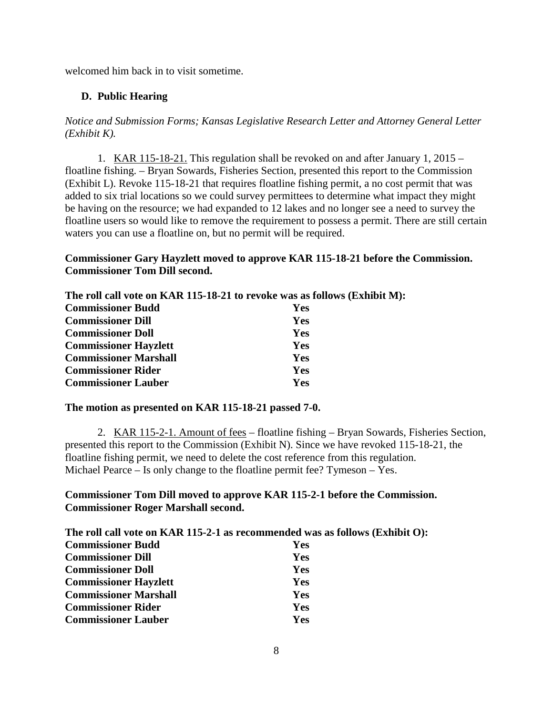welcomed him back in to visit sometime.

### **D. Public Hearing**

*Notice and Submission Forms; Kansas Legislative Research Letter and Attorney General Letter (Exhibit K).*

1. KAR 115-18-21. This regulation shall be revoked on and after January 1, 2015 – floatline fishing. – Bryan Sowards, Fisheries Section, presented this report to the Commission (Exhibit L). Revoke 115-18-21 that requires floatline fishing permit, a no cost permit that was added to six trial locations so we could survey permittees to determine what impact they might be having on the resource; we had expanded to 12 lakes and no longer see a need to survey the floatline users so would like to remove the requirement to possess a permit. There are still certain waters you can use a floatline on, but no permit will be required.

### **Commissioner Gary Hayzlett moved to approve KAR 115-18-21 before the Commission. Commissioner Tom Dill second.**

**The roll call vote on KAR 115-18-21 to revoke was as follows (Exhibit M):**

| <b>Commissioner Budd</b>     | <b>Yes</b> |
|------------------------------|------------|
| <b>Commissioner Dill</b>     | Yes        |
| <b>Commissioner Doll</b>     | Yes        |
| <b>Commissioner Hayzlett</b> | Yes        |
| <b>Commissioner Marshall</b> | Yes        |
| <b>Commissioner Rider</b>    | Yes        |
| <b>Commissioner Lauber</b>   | Yes        |

#### **The motion as presented on KAR 115-18-21 passed 7-0.**

2. KAR 115-2-1. Amount of fees – floatline fishing – Bryan Sowards, Fisheries Section, presented this report to the Commission (Exhibit N). Since we have revoked 115-18-21, the floatline fishing permit, we need to delete the cost reference from this regulation. Michael Pearce – Is only change to the floatline permit fee? Tymeson – Yes.

### **Commissioner Tom Dill moved to approve KAR 115-2-1 before the Commission. Commissioner Roger Marshall second.**

| The roll call vote on KAR 115-2-1 as recommended was as follows (Exhibit O): |            |  |
|------------------------------------------------------------------------------|------------|--|
| <b>Commissioner Budd</b>                                                     | <b>Yes</b> |  |
| <b>Commissioner Dill</b>                                                     | Yes        |  |
| <b>Commissioner Doll</b>                                                     | <b>Yes</b> |  |
| <b>Commissioner Hayzlett</b>                                                 | <b>Yes</b> |  |
| <b>Commissioner Marshall</b>                                                 | <b>Yes</b> |  |
| <b>Commissioner Rider</b>                                                    | <b>Yes</b> |  |
| <b>Commissioner Lauber</b>                                                   | Yes        |  |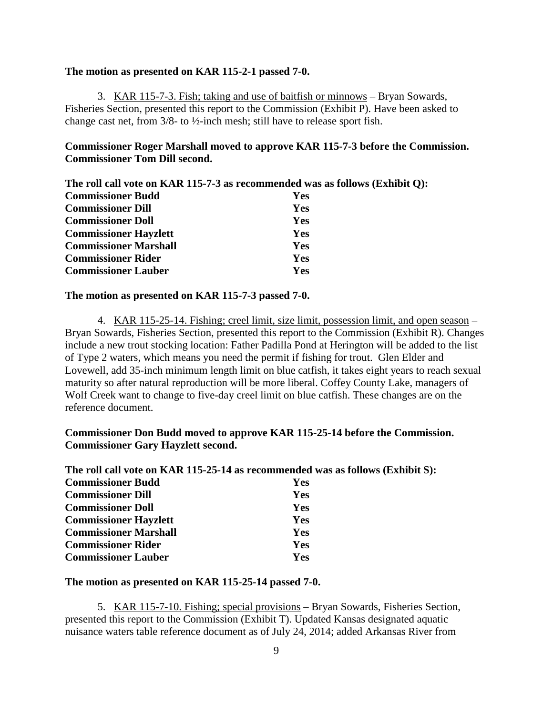#### **The motion as presented on KAR 115-2-1 passed 7-0.**

3. KAR 115-7-3. Fish; taking and use of baitfish or minnows – Bryan Sowards, Fisheries Section, presented this report to the Commission (Exhibit P). Have been asked to change cast net, from 3/8- to ½-inch mesh; still have to release sport fish.

### **Commissioner Roger Marshall moved to approve KAR 115-7-3 before the Commission. Commissioner Tom Dill second.**

| The roll call vote on KAR 115-7-3 as recommended was as follows (Exhibit Q): |  |  |  |
|------------------------------------------------------------------------------|--|--|--|
|------------------------------------------------------------------------------|--|--|--|

| <b>Commissioner Budd</b>     | <b>Yes</b> |
|------------------------------|------------|
| <b>Commissioner Dill</b>     | Yes        |
| <b>Commissioner Doll</b>     | Yes        |
| <b>Commissioner Hayzlett</b> | Yes        |
| <b>Commissioner Marshall</b> | Yes        |
| <b>Commissioner Rider</b>    | Yes        |
| <b>Commissioner Lauber</b>   | Yes        |

#### **The motion as presented on KAR 115-7-3 passed 7-0.**

4. KAR 115-25-14. Fishing; creel limit, size limit, possession limit, and open season – Bryan Sowards, Fisheries Section, presented this report to the Commission (Exhibit R). Changes include a new trout stocking location: Father Padilla Pond at Herington will be added to the list of Type 2 waters, which means you need the permit if fishing for trout. Glen Elder and Lovewell, add 35-inch minimum length limit on blue catfish, it takes eight years to reach sexual maturity so after natural reproduction will be more liberal. Coffey County Lake, managers of Wolf Creek want to change to five-day creel limit on blue catfish. These changes are on the reference document.

#### **Commissioner Don Budd moved to approve KAR 115-25-14 before the Commission. Commissioner Gary Hayzlett second.**

|                              | The roll call vote on KAR 115-25-14 as recommended was as follows (Exhibit S): |
|------------------------------|--------------------------------------------------------------------------------|
| <b>Commissioner Budd</b>     | <b>Yes</b>                                                                     |
| <b>Commissioner Dill</b>     | Yes                                                                            |
| <b>Commissioner Doll</b>     | <b>Yes</b>                                                                     |
| <b>Commissioner Hayzlett</b> | Yes                                                                            |
| <b>Commissioner Marshall</b> | <b>Yes</b>                                                                     |
| <b>Commissioner Rider</b>    | Yes                                                                            |
| <b>Commissioner Lauber</b>   | Yes                                                                            |

#### **The motion as presented on KAR 115-25-14 passed 7-0.**

5. KAR 115-7-10. Fishing; special provisions – Bryan Sowards, Fisheries Section, presented this report to the Commission (Exhibit T). Updated Kansas designated aquatic nuisance waters table reference document as of July 24, 2014; added Arkansas River from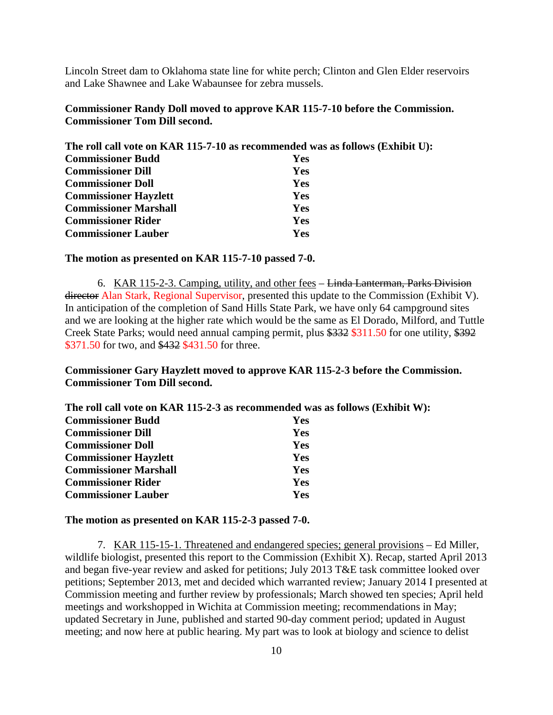Lincoln Street dam to Oklahoma state line for white perch; Clinton and Glen Elder reservoirs and Lake Shawnee and Lake Wabaunsee for zebra mussels.

### **Commissioner Randy Doll moved to approve KAR 115-7-10 before the Commission. Commissioner Tom Dill second.**

|                              | The roll call vote on KAR 115-7-10 as recommended was as follows (Exhibit U): |
|------------------------------|-------------------------------------------------------------------------------|
| <b>Commissioner Budd</b>     | <b>Yes</b>                                                                    |
| <b>Commissioner Dill</b>     | <b>Yes</b>                                                                    |
| <b>Commissioner Doll</b>     | <b>Yes</b>                                                                    |
| <b>Commissioner Hayzlett</b> | <b>Yes</b>                                                                    |
| <b>Commissioner Marshall</b> | <b>Yes</b>                                                                    |
| <b>Commissioner Rider</b>    | Yes                                                                           |
| <b>Commissioner Lauber</b>   | Yes                                                                           |
|                              |                                                                               |

#### **The motion as presented on KAR 115-7-10 passed 7-0.**

6. KAR 115-2-3. Camping, utility, and other fees – Linda Lanterman, Parks Division director Alan Stark, Regional Supervisor, presented this update to the Commission (Exhibit V). In anticipation of the completion of Sand Hills State Park, we have only 64 campground sites and we are looking at the higher rate which would be the same as El Dorado, Milford, and Tuttle Creek State Parks; would need annual camping permit, plus \$332 \$311.50 for one utility, \$392 \$371.50 for two, and \$432 \$431.50 for three.

### **Commissioner Gary Hayzlett moved to approve KAR 115-2-3 before the Commission. Commissioner Tom Dill second.**

| The roll call vote on KAR 115-2-3 as recommended was as follows (Exhibit W): |
|------------------------------------------------------------------------------|
| <b>Yes</b>                                                                   |
| <b>Yes</b>                                                                   |
| <b>Yes</b>                                                                   |
| <b>Yes</b>                                                                   |
| <b>Yes</b>                                                                   |
| <b>Yes</b>                                                                   |
| Yes                                                                          |
|                                                                              |

**The motion as presented on KAR 115-2-3 passed 7-0.**

7. KAR 115-15-1. Threatened and endangered species; general provisions – Ed Miller, wildlife biologist, presented this report to the Commission (Exhibit X). Recap, started April 2013 and began five-year review and asked for petitions; July 2013 T&E task committee looked over petitions; September 2013, met and decided which warranted review; January 2014 I presented at Commission meeting and further review by professionals; March showed ten species; April held meetings and workshopped in Wichita at Commission meeting; recommendations in May; updated Secretary in June, published and started 90-day comment period; updated in August meeting; and now here at public hearing. My part was to look at biology and science to delist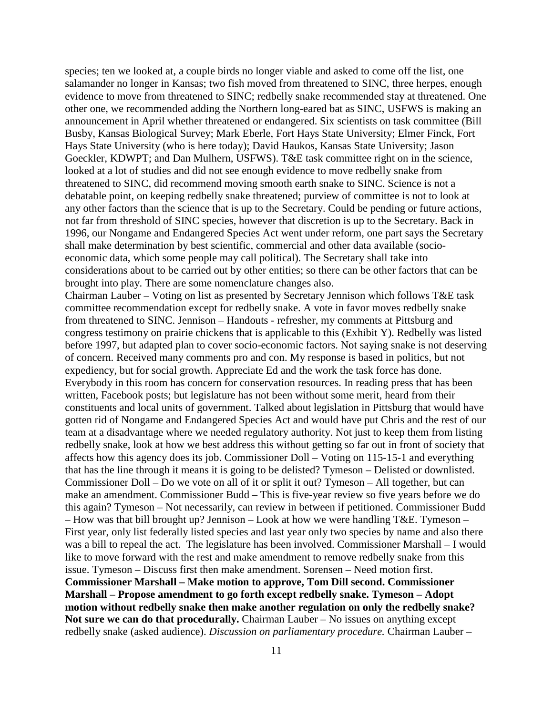species; ten we looked at, a couple birds no longer viable and asked to come off the list, one salamander no longer in Kansas; two fish moved from threatened to SINC, three herpes, enough evidence to move from threatened to SINC; redbelly snake recommended stay at threatened. One other one, we recommended adding the Northern long-eared bat as SINC, USFWS is making an announcement in April whether threatened or endangered. Six scientists on task committee (Bill Busby, Kansas Biological Survey; Mark Eberle, Fort Hays State University; Elmer Finck, Fort Hays State University (who is here today); David Haukos, Kansas State University; Jason Goeckler, KDWPT; and Dan Mulhern, USFWS). T&E task committee right on in the science, looked at a lot of studies and did not see enough evidence to move redbelly snake from threatened to SINC, did recommend moving smooth earth snake to SINC. Science is not a debatable point, on keeping redbelly snake threatened; purview of committee is not to look at any other factors than the science that is up to the Secretary. Could be pending or future actions, not far from threshold of SINC species, however that discretion is up to the Secretary. Back in 1996, our Nongame and Endangered Species Act went under reform, one part says the Secretary shall make determination by best scientific, commercial and other data available (socioeconomic data, which some people may call political). The Secretary shall take into considerations about to be carried out by other entities; so there can be other factors that can be brought into play. There are some nomenclature changes also.

Chairman Lauber – Voting on list as presented by Secretary Jennison which follows T&E task committee recommendation except for redbelly snake. A vote in favor moves redbelly snake from threatened to SINC. Jennison – Handouts - refresher, my comments at Pittsburg and congress testimony on prairie chickens that is applicable to this (Exhibit Y). Redbelly was listed before 1997, but adapted plan to cover socio-economic factors. Not saying snake is not deserving of concern. Received many comments pro and con. My response is based in politics, but not expediency, but for social growth. Appreciate Ed and the work the task force has done. Everybody in this room has concern for conservation resources. In reading press that has been written, Facebook posts; but legislature has not been without some merit, heard from their constituents and local units of government. Talked about legislation in Pittsburg that would have gotten rid of Nongame and Endangered Species Act and would have put Chris and the rest of our team at a disadvantage where we needed regulatory authority. Not just to keep them from listing redbelly snake, look at how we best address this without getting so far out in front of society that affects how this agency does its job. Commissioner Doll – Voting on 115-15-1 and everything that has the line through it means it is going to be delisted? Tymeson – Delisted or downlisted. Commissioner Doll – Do we vote on all of it or split it out? Tymeson – All together, but can make an amendment. Commissioner Budd – This is five-year review so five years before we do this again? Tymeson – Not necessarily, can review in between if petitioned. Commissioner Budd – How was that bill brought up? Jennison – Look at how we were handling  $T&E$ . Tymeson – First year, only list federally listed species and last year only two species by name and also there was a bill to repeal the act. The legislature has been involved. Commissioner Marshall – I would like to move forward with the rest and make amendment to remove redbelly snake from this issue. Tymeson – Discuss first then make amendment. Sorensen – Need motion first. **Commissioner Marshall – Make motion to approve, Tom Dill second. Commissioner Marshall – Propose amendment to go forth except redbelly snake. Tymeson – Adopt motion without redbelly snake then make another regulation on only the redbelly snake? Not sure we can do that procedurally.** Chairman Lauber – No issues on anything except redbelly snake (asked audience). *Discussion on parliamentary procedure.* Chairman Lauber –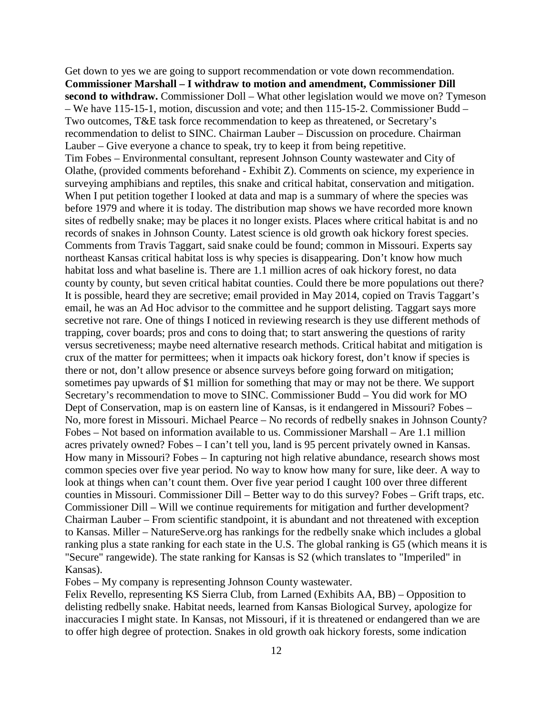Get down to yes we are going to support recommendation or vote down recommendation. **Commissioner Marshall – I withdraw to motion and amendment, Commissioner Dill second to withdraw.** Commissioner Doll – What other legislation would we move on? Tymeson – We have 115-15-1, motion, discussion and vote; and then 115-15-2. Commissioner Budd – Two outcomes, T&E task force recommendation to keep as threatened, or Secretary's recommendation to delist to SINC. Chairman Lauber – Discussion on procedure. Chairman Lauber – Give everyone a chance to speak, try to keep it from being repetitive. Tim Fobes – Environmental consultant, represent Johnson County wastewater and City of Olathe, (provided comments beforehand - Exhibit Z). Comments on science, my experience in surveying amphibians and reptiles, this snake and critical habitat, conservation and mitigation. When I put petition together I looked at data and map is a summary of where the species was before 1979 and where it is today. The distribution map shows we have recorded more known sites of redbelly snake; may be places it no longer exists. Places where critical habitat is and no records of snakes in Johnson County. Latest science is old growth oak hickory forest species. Comments from Travis Taggart, said snake could be found; common in Missouri. Experts say northeast Kansas critical habitat loss is why species is disappearing. Don't know how much habitat loss and what baseline is. There are 1.1 million acres of oak hickory forest, no data county by county, but seven critical habitat counties. Could there be more populations out there? It is possible, heard they are secretive; email provided in May 2014, copied on Travis Taggart's email, he was an Ad Hoc advisor to the committee and he support delisting. Taggart says more secretive not rare. One of things I noticed in reviewing research is they use different methods of trapping, cover boards; pros and cons to doing that; to start answering the questions of rarity versus secretiveness; maybe need alternative research methods. Critical habitat and mitigation is crux of the matter for permittees; when it impacts oak hickory forest, don't know if species is there or not, don't allow presence or absence surveys before going forward on mitigation; sometimes pay upwards of \$1 million for something that may or may not be there. We support Secretary's recommendation to move to SINC. Commissioner Budd – You did work for MO Dept of Conservation, map is on eastern line of Kansas, is it endangered in Missouri? Fobes – No, more forest in Missouri. Michael Pearce – No records of redbelly snakes in Johnson County? Fobes – Not based on information available to us. Commissioner Marshall – Are 1.1 million acres privately owned? Fobes – I can't tell you, land is 95 percent privately owned in Kansas. How many in Missouri? Fobes – In capturing not high relative abundance, research shows most common species over five year period. No way to know how many for sure, like deer. A way to look at things when can't count them. Over five year period I caught 100 over three different counties in Missouri. Commissioner Dill – Better way to do this survey? Fobes – Grift traps, etc. Commissioner Dill – Will we continue requirements for mitigation and further development? Chairman Lauber – From scientific standpoint, it is abundant and not threatened with exception to Kansas. Miller – NatureServe.org has rankings for the redbelly snake which includes a global ranking plus a state ranking for each state in the U.S. The global ranking is G5 (which means it is "Secure" rangewide). The state ranking for Kansas is S2 (which translates to "Imperiled" in Kansas).

Fobes – My company is representing Johnson County wastewater.

Felix Revello, representing KS Sierra Club, from Larned (Exhibits AA, BB) – Opposition to delisting redbelly snake. Habitat needs, learned from Kansas Biological Survey, apologize for inaccuracies I might state. In Kansas, not Missouri, if it is threatened or endangered than we are to offer high degree of protection. Snakes in old growth oak hickory forests, some indication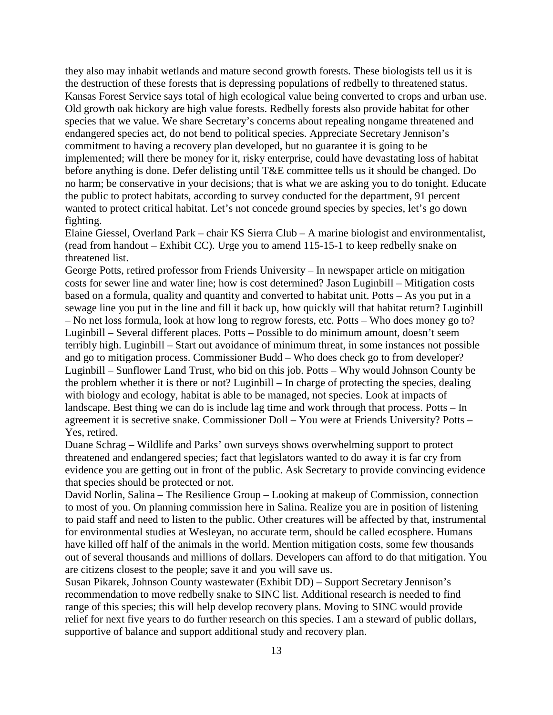they also may inhabit wetlands and mature second growth forests. These biologists tell us it is the destruction of these forests that is depressing populations of redbelly to threatened status. Kansas Forest Service says total of high ecological value being converted to crops and urban use. Old growth oak hickory are high value forests. Redbelly forests also provide habitat for other species that we value. We share Secretary's concerns about repealing nongame threatened and endangered species act, do not bend to political species. Appreciate Secretary Jennison's commitment to having a recovery plan developed, but no guarantee it is going to be implemented; will there be money for it, risky enterprise, could have devastating loss of habitat before anything is done. Defer delisting until T&E committee tells us it should be changed. Do no harm; be conservative in your decisions; that is what we are asking you to do tonight. Educate the public to protect habitats, according to survey conducted for the department, 91 percent wanted to protect critical habitat. Let's not concede ground species by species, let's go down fighting.

Elaine Giessel, Overland Park – chair KS Sierra Club – A marine biologist and environmentalist, (read from handout – Exhibit CC). Urge you to amend 115-15-1 to keep redbelly snake on threatened list.

George Potts, retired professor from Friends University – In newspaper article on mitigation costs for sewer line and water line; how is cost determined? Jason Luginbill – Mitigation costs based on a formula, quality and quantity and converted to habitat unit. Potts – As you put in a sewage line you put in the line and fill it back up, how quickly will that habitat return? Luginbill – No net loss formula, look at how long to regrow forests, etc. Potts – Who does money go to? Luginbill – Several different places. Potts – Possible to do minimum amount, doesn't seem terribly high. Luginbill – Start out avoidance of minimum threat, in some instances not possible and go to mitigation process. Commissioner Budd – Who does check go to from developer? Luginbill – Sunflower Land Trust, who bid on this job. Potts – Why would Johnson County be the problem whether it is there or not? Luginbill – In charge of protecting the species, dealing with biology and ecology, habitat is able to be managed, not species. Look at impacts of landscape. Best thing we can do is include lag time and work through that process. Potts – In agreement it is secretive snake. Commissioner Doll – You were at Friends University? Potts – Yes, retired.

Duane Schrag – Wildlife and Parks' own surveys shows overwhelming support to protect threatened and endangered species; fact that legislators wanted to do away it is far cry from evidence you are getting out in front of the public. Ask Secretary to provide convincing evidence that species should be protected or not.

David Norlin, Salina – The Resilience Group – Looking at makeup of Commission, connection to most of you. On planning commission here in Salina. Realize you are in position of listening to paid staff and need to listen to the public. Other creatures will be affected by that, instrumental for environmental studies at Wesleyan, no accurate term, should be called ecosphere. Humans have killed off half of the animals in the world. Mention mitigation costs, some few thousands out of several thousands and millions of dollars. Developers can afford to do that mitigation. You are citizens closest to the people; save it and you will save us.

Susan Pikarek, Johnson County wastewater (Exhibit DD) – Support Secretary Jennison's recommendation to move redbelly snake to SINC list. Additional research is needed to find range of this species; this will help develop recovery plans. Moving to SINC would provide relief for next five years to do further research on this species. I am a steward of public dollars, supportive of balance and support additional study and recovery plan.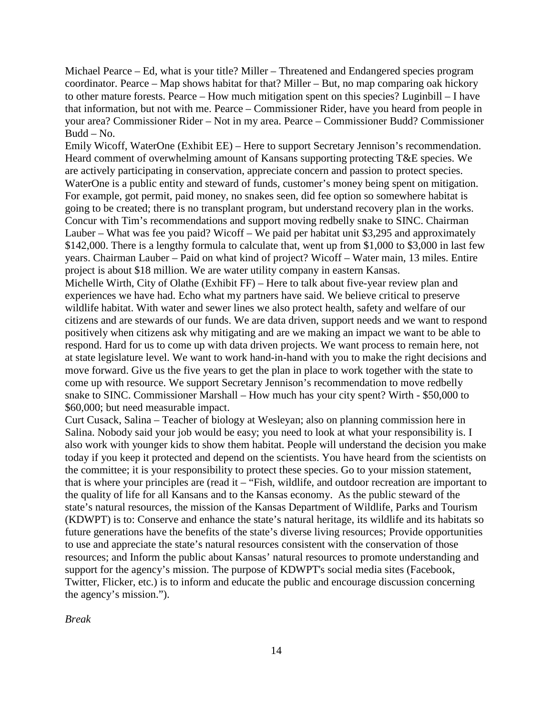Michael Pearce – Ed, what is your title? Miller – Threatened and Endangered species program coordinator. Pearce – Map shows habitat for that? Miller – But, no map comparing oak hickory to other mature forests. Pearce – How much mitigation spent on this species? Luginbill – I have that information, but not with me. Pearce – Commissioner Rider, have you heard from people in your area? Commissioner Rider – Not in my area. Pearce – Commissioner Budd? Commissioner Budd – No.

Emily Wicoff, WaterOne (Exhibit EE) – Here to support Secretary Jennison's recommendation. Heard comment of overwhelming amount of Kansans supporting protecting T&E species. We are actively participating in conservation, appreciate concern and passion to protect species. WaterOne is a public entity and steward of funds, customer's money being spent on mitigation. For example, got permit, paid money, no snakes seen, did fee option so somewhere habitat is going to be created; there is no transplant program, but understand recovery plan in the works. Concur with Tim's recommendations and support moving redbelly snake to SINC. Chairman Lauber – What was fee you paid? Wicoff – We paid per habitat unit \$3,295 and approximately \$142,000. There is a lengthy formula to calculate that, went up from \$1,000 to \$3,000 in last few years. Chairman Lauber – Paid on what kind of project? Wicoff – Water main, 13 miles. Entire project is about \$18 million. We are water utility company in eastern Kansas.

Michelle Wirth, City of Olathe (Exhibit FF) – Here to talk about five-year review plan and experiences we have had. Echo what my partners have said. We believe critical to preserve wildlife habitat. With water and sewer lines we also protect health, safety and welfare of our citizens and are stewards of our funds. We are data driven, support needs and we want to respond positively when citizens ask why mitigating and are we making an impact we want to be able to respond. Hard for us to come up with data driven projects. We want process to remain here, not at state legislature level. We want to work hand-in-hand with you to make the right decisions and move forward. Give us the five years to get the plan in place to work together with the state to come up with resource. We support Secretary Jennison's recommendation to move redbelly snake to SINC. Commissioner Marshall – How much has your city spent? Wirth - \$50,000 to \$60,000; but need measurable impact.

Curt Cusack, Salina – Teacher of biology at Wesleyan; also on planning commission here in Salina. Nobody said your job would be easy; you need to look at what your responsibility is. I also work with younger kids to show them habitat. People will understand the decision you make today if you keep it protected and depend on the scientists. You have heard from the scientists on the committee; it is your responsibility to protect these species. Go to your mission statement, that is where your principles are (read it – "Fish, wildlife, and outdoor recreation are important to the quality of life for all Kansans and to the Kansas economy. As the public steward of the state's natural resources, the mission of the Kansas Department of Wildlife, Parks and Tourism (KDWPT) is to: Conserve and enhance the state's natural heritage, its wildlife and its habitats so future generations have the benefits of the state's diverse living resources; Provide opportunities to use and appreciate the state's natural resources consistent with the conservation of those resources; and Inform the public about Kansas' natural resources to promote understanding and support for the agency's mission. The purpose of KDWPT's social media sites (Facebook, Twitter, Flicker, etc.) is to inform and educate the public and encourage discussion concerning the agency's mission.").

*Break*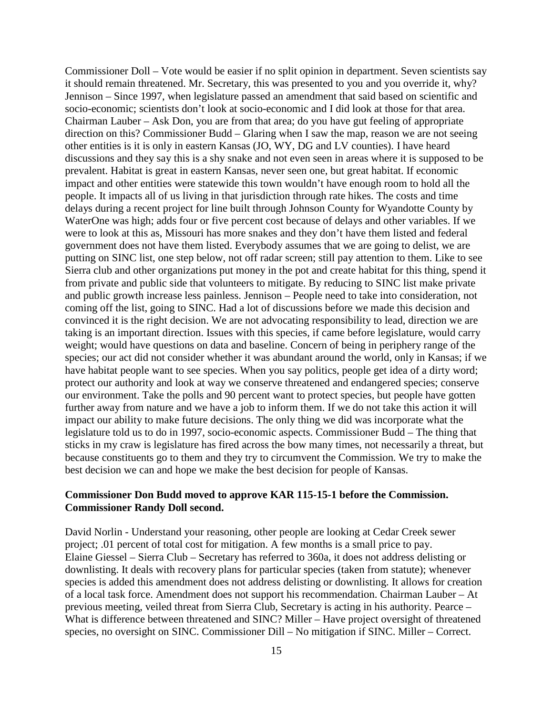Commissioner Doll – Vote would be easier if no split opinion in department. Seven scientists say it should remain threatened. Mr. Secretary, this was presented to you and you override it, why? Jennison – Since 1997, when legislature passed an amendment that said based on scientific and socio-economic; scientists don't look at socio-economic and I did look at those for that area. Chairman Lauber – Ask Don, you are from that area; do you have gut feeling of appropriate direction on this? Commissioner Budd – Glaring when I saw the map, reason we are not seeing other entities is it is only in eastern Kansas (JO, WY, DG and LV counties). I have heard discussions and they say this is a shy snake and not even seen in areas where it is supposed to be prevalent. Habitat is great in eastern Kansas, never seen one, but great habitat. If economic impact and other entities were statewide this town wouldn't have enough room to hold all the people. It impacts all of us living in that jurisdiction through rate hikes. The costs and time delays during a recent project for line built through Johnson County for Wyandotte County by WaterOne was high; adds four or five percent cost because of delays and other variables. If we were to look at this as, Missouri has more snakes and they don't have them listed and federal government does not have them listed. Everybody assumes that we are going to delist, we are putting on SINC list, one step below, not off radar screen; still pay attention to them. Like to see Sierra club and other organizations put money in the pot and create habitat for this thing, spend it from private and public side that volunteers to mitigate. By reducing to SINC list make private and public growth increase less painless. Jennison – People need to take into consideration, not coming off the list, going to SINC. Had a lot of discussions before we made this decision and convinced it is the right decision. We are not advocating responsibility to lead, direction we are taking is an important direction. Issues with this species, if came before legislature, would carry weight; would have questions on data and baseline. Concern of being in periphery range of the species; our act did not consider whether it was abundant around the world, only in Kansas; if we have habitat people want to see species. When you say politics, people get idea of a dirty word; protect our authority and look at way we conserve threatened and endangered species; conserve our environment. Take the polls and 90 percent want to protect species, but people have gotten further away from nature and we have a job to inform them. If we do not take this action it will impact our ability to make future decisions. The only thing we did was incorporate what the legislature told us to do in 1997, socio-economic aspects. Commissioner Budd – The thing that sticks in my craw is legislature has fired across the bow many times, not necessarily a threat, but because constituents go to them and they try to circumvent the Commission. We try to make the best decision we can and hope we make the best decision for people of Kansas.

#### **Commissioner Don Budd moved to approve KAR 115-15-1 before the Commission. Commissioner Randy Doll second.**

David Norlin - Understand your reasoning, other people are looking at Cedar Creek sewer project; .01 percent of total cost for mitigation. A few months is a small price to pay. Elaine Giessel – Sierra Club – Secretary has referred to 360a, it does not address delisting or downlisting. It deals with recovery plans for particular species (taken from statute); whenever species is added this amendment does not address delisting or downlisting. It allows for creation of a local task force. Amendment does not support his recommendation. Chairman Lauber – At previous meeting, veiled threat from Sierra Club, Secretary is acting in his authority. Pearce – What is difference between threatened and SINC? Miller – Have project oversight of threatened species, no oversight on SINC. Commissioner Dill – No mitigation if SINC. Miller – Correct.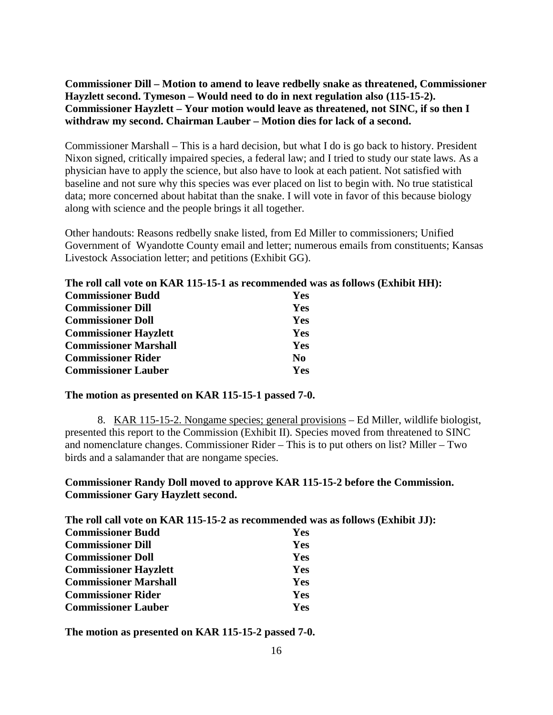**Commissioner Dill – Motion to amend to leave redbelly snake as threatened, Commissioner Hayzlett second. Tymeson – Would need to do in next regulation also (115-15-2). Commissioner Hayzlett – Your motion would leave as threatened, not SINC, if so then I withdraw my second. Chairman Lauber – Motion dies for lack of a second.**

Commissioner Marshall – This is a hard decision, but what I do is go back to history. President Nixon signed, critically impaired species, a federal law; and I tried to study our state laws. As a physician have to apply the science, but also have to look at each patient. Not satisfied with baseline and not sure why this species was ever placed on list to begin with. No true statistical data; more concerned about habitat than the snake. I will vote in favor of this because biology along with science and the people brings it all together.

Other handouts: Reasons redbelly snake listed, from Ed Miller to commissioners; Unified Government of Wyandotte County email and letter; numerous emails from constituents; Kansas Livestock Association letter; and petitions (Exhibit GG).

### **The roll call vote on KAR 115-15-1 as recommended was as follows (Exhibit HH): Commissioner Budd Yes Commissioner Dill Yes Commissioner Doll Yes Commissioner Hayzlett Yes Commissioner Marshall Yes Commissioner Rider No Commissioner Lauber Yes**

#### **The motion as presented on KAR 115-15-1 passed 7-0.**

8. KAR 115-15-2. Nongame species; general provisions – Ed Miller, wildlife biologist, presented this report to the Commission (Exhibit II). Species moved from threatened to SINC and nomenclature changes. Commissioner Rider – This is to put others on list? Miller – Two birds and a salamander that are nongame species.

#### **Commissioner Randy Doll moved to approve KAR 115-15-2 before the Commission. Commissioner Gary Hayzlett second.**

**The roll call vote on KAR 115-15-2 as recommended was as follows (Exhibit JJ):**

| <b>Commissioner Budd</b>     | Yes        |
|------------------------------|------------|
| <b>Commissioner Dill</b>     | Yes        |
| <b>Commissioner Doll</b>     | Yes        |
| <b>Commissioner Hayzlett</b> | <b>Yes</b> |
| <b>Commissioner Marshall</b> | Yes        |
| <b>Commissioner Rider</b>    | <b>Yes</b> |
| <b>Commissioner Lauber</b>   | <b>Yes</b> |

**The motion as presented on KAR 115-15-2 passed 7-0.**